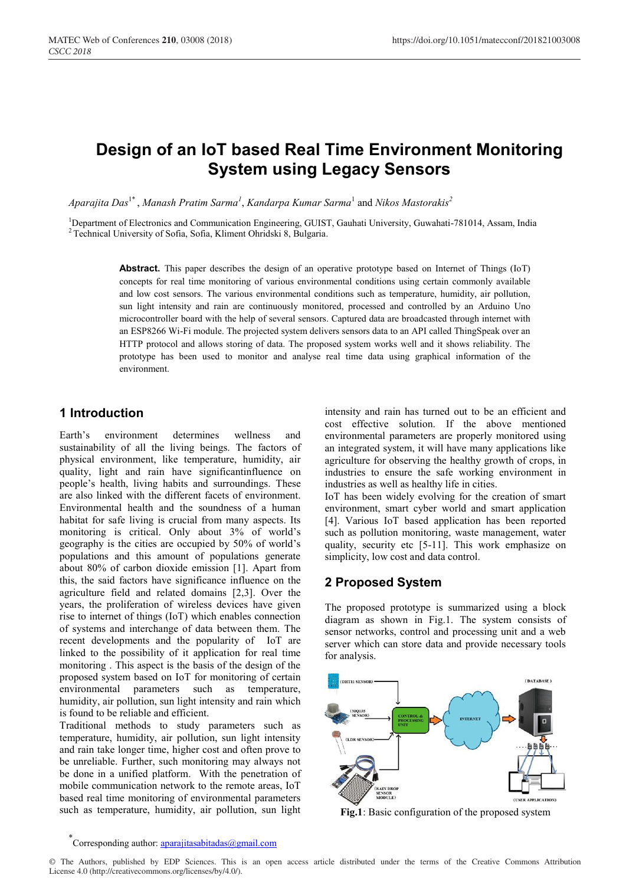# **Design of an IoT based Real Time Environment Monitoring System using Legacy Sensors**

*Aparajita Das*1\* , *Manash Pratim Sarma<sup>1</sup>* , *Kandarpa Kumar Sarma*<sup>1</sup> and *Nikos Mastorakis<sup>2</sup>*

<sup>1</sup>Department of Electronics and Communication Engineering, GUIST, Gauhati University, Guwahati-781014, Assam, India <sup>2</sup> Technical University of Sofia, Sofia, Kliment Ohridski 8, Bulgaria.

**Abstract.** This paper describes the design of an operative prototype based on Internet of Things (IoT) concepts for real time monitoring of various environmental conditions using certain commonly available and low cost sensors. The various environmental conditions such as temperature, humidity, air pollution, sun light intensity and rain are continuously monitored, processed and controlled by an Arduino Uno microcontroller board with the help of several sensors. Captured data are broadcasted through internet with an ESP8266 Wi-Fi module. The projected system delivers sensors data to an API called ThingSpeak over an HTTP protocol and allows storing of data. The proposed system works well and it shows reliability. The prototype has been used to monitor and analyse real time data using graphical information of the environment.

### **1 Introduction**

Earth's environment determines wellness and sustainability of all the living beings. The factors of physical environment, like temperature, humidity, air quality, light and rain have significantinfluence on people's health, living habits and surroundings. These are also linked with the different facets of environment. Environmental health and the soundness of a human habitat for safe living is crucial from many aspects. Its monitoring is critical. Only about 3% of world's geography is the cities are occupied by 50% of world's populations and this amount of populations generate about 80% of carbon dioxide emission [1]. Apart from this, the said factors have significance influence on the agriculture field and related domains [2,3]. Over the years, the proliferation of wireless devices have given rise to internet of things (IoT) which enables connection of systems and interchange of data between them. The recent developments and the popularity of IoT are linked to the possibility of it application for real time monitoring . This aspect is the basis of the design of the proposed system based on IoT for monitoring of certain environmental parameters such as temperature, humidity, air pollution, sun light intensity and rain which is found to be reliable and efficient.

Traditional methods to study parameters such as temperature, humidity, air pollution, sun light intensity and rain take longer time, higher cost and often prove to be unreliable. Further, such monitoring may always not be done in a unified platform. With the penetration of mobile communication network to the remote areas, IoT based real time monitoring of environmental parameters such as temperature, humidity, air pollution, sun light

intensity and rain has turned out to be an efficient and cost effective solution. If the above mentioned environmental parameters are properly monitored using an integrated system, it will have many applications like agriculture for observing the healthy growth of crops, in industries to ensure the safe working environment in industries as well as healthy life in cities.

IoT has been widely evolving for the creation of smart environment, smart cyber world and smart application [4]. Various IoT based application has been reported such as pollution monitoring, waste management, water quality, security etc [5-11]. This work emphasize on simplicity, low cost and data control.

### **2 Proposed System**

The proposed prototype is summarized using a block diagram as shown in Fig.1. The system consists of sensor networks, control and processing unit and a web server which can store data and provide necessary tools for analysis.



**Fig.1**: Basic configuration of the proposed system

<sup>\*&</sup>lt;br>Corresponding author: **aparajitasabitadas@gmail.com**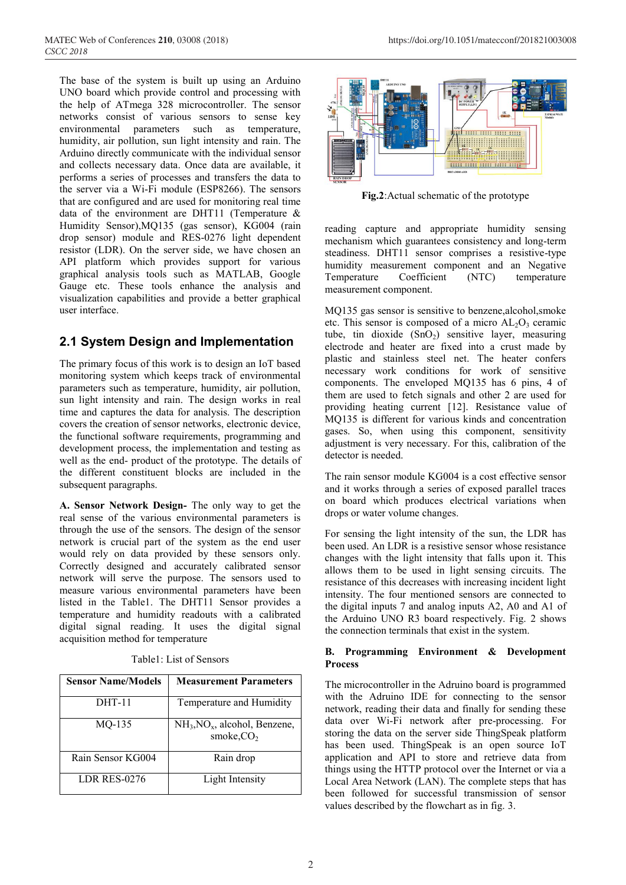The base of the system is built up using an Arduino UNO board which provide control and processing with the help of ATmega 328 microcontroller. The sensor networks consist of various sensors to sense key environmental parameters such as temperature, humidity, air pollution, sun light intensity and rain. The Arduino directly communicate with the individual sensor and collects necessary data. Once data are available, it performs a series of processes and transfers the data to the server via a Wi-Fi module (ESP8266). The sensors that are configured and are used for monitoring real time data of the environment are DHT11 (Temperature & Humidity Sensor),MQ135 (gas sensor), KG004 (rain drop sensor) module and RES-0276 light dependent resistor (LDR). On the server side, we have chosen an API platform which provides support for various graphical analysis tools such as MATLAB, Google Gauge etc. These tools enhance the analysis and visualization capabilities and provide a better graphical user interface.

# **2.1 System Design and Implementation**

The primary focus of this work is to design an IoT based monitoring system which keeps track of environmental parameters such as temperature, humidity, air pollution, sun light intensity and rain. The design works in real time and captures the data for analysis. The description covers the creation of sensor networks, electronic device, the functional software requirements, programming and development process, the implementation and testing as well as the end- product of the prototype. The details of the different constituent blocks are included in the subsequent paragraphs.

**A. Sensor Network Design-** The only way to get the real sense of the various environmental parameters is through the use of the sensors. The design of the sensor network is crucial part of the system as the end user would rely on data provided by these sensors only. Correctly designed and accurately calibrated sensor network will serve the purpose. The sensors used to measure various environmental parameters have been listed in the Table1. The DHT11 Sensor provides a temperature and humidity readouts with a calibrated digital signal reading. It uses the digital signal acquisition method for temperature

| <b>Sensor Name/Models</b> | <b>Measurement Parameters</b>                  |
|---------------------------|------------------------------------------------|
| <b>DHT-11</b>             | Temperature and Humidity                       |
| $MO-135$                  | $NH3, NOx$ , alcohol, Benzene,<br>smoke, $CO2$ |
| Rain Sensor KG004         | Rain drop                                      |
| LDR RES-0276              | Light Intensity                                |

Table1: List of Sensors



**Fig.2**:Actual schematic of the prototype

reading capture and appropriate humidity sensing mechanism which guarantees consistency and long-term steadiness. DHT11 sensor comprises a resistive-type humidity measurement component and an Negative Temperature Coefficient (NTC) temperature measurement component.

MQ135 gas sensor is sensitive to benzene,alcohol,smoke etc. This sensor is composed of a micro  $AL_2O_3$  ceramic tube, tin dioxide  $(SnO<sub>2</sub>)$  sensitive layer, measuring electrode and heater are fixed into a crust made by plastic and stainless steel net. The heater confers necessary work conditions for work of sensitive components. The enveloped MQ135 has 6 pins, 4 of them are used to fetch signals and other 2 are used for providing heating current [12]. Resistance value of MQ135 is different for various kinds and concentration gases. So, when using this component, sensitivity adjustment is very necessary. For this, calibration of the detector is needed.

The rain sensor module KG004 is a cost effective sensor and it works through a series of exposed parallel traces on board which produces electrical variations when drops or water volume changes.

For sensing the light intensity of the sun, the LDR has been used. An LDR is a resistive sensor whose resistance changes with the light intensity that falls upon it. This allows them to be used in light sensing circuits. The resistance of this decreases with increasing incident light intensity. The four mentioned sensors are connected to the digital inputs 7 and analog inputs A2, A0 and A1 of the Arduino UNO R3 board respectively. Fig. 2 shows the connection terminals that exist in the system.

#### **B. Programming Environment & Development Process**

The microcontroller in the Adruino board is programmed with the Adruino IDE for connecting to the sensor network, reading their data and finally for sending these data over Wi-Fi network after pre-processing. For storing the data on the server side ThingSpeak platform has been used. ThingSpeak is an open source IoT application and API to store and retrieve data from things using the HTTP protocol over the Internet or via a Local Area Network (LAN). The complete steps that has been followed for successful transmission of sensor values described by the flowchart as in fig. 3.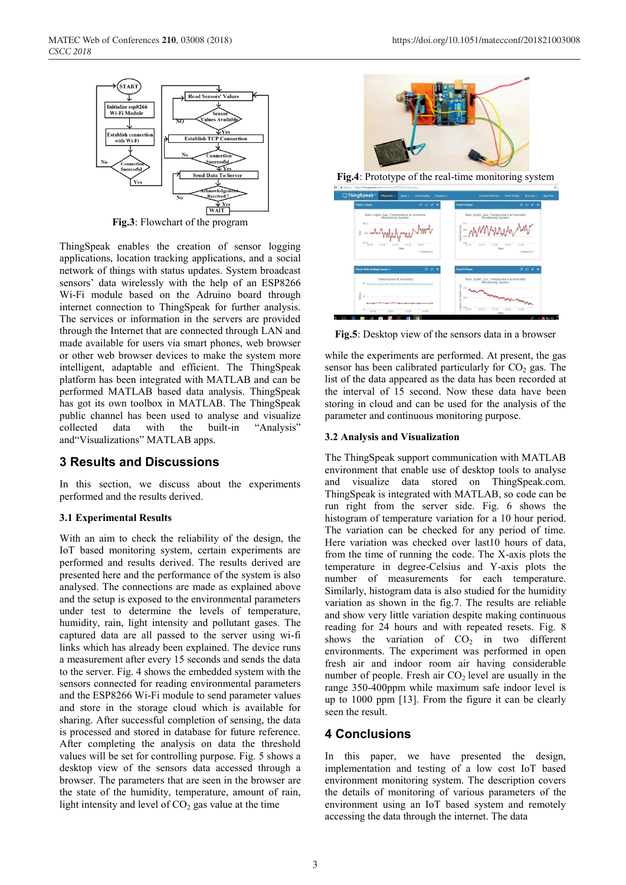

**Fig.3**: Flowchart of the program

ThingSpeak enables the creation of sensor logging applications, location tracking applications, and a social network of things with status updates. System broadcast sensors' data wirelessly with the help of an ESP8266 Wi-Fi module based on the Adruino board through internet connection to ThingSpeak for further analysis. The services or information in the servers are provided through the Internet that are connected through LAN and made available for users via smart phones, web browser or other web browser devices to make the system more intelligent, adaptable and efficient. The ThingSpeak platform has been integrated with MATLAB and can be performed MATLAB based data analysis. ThingSpeak has got its own toolbox in MATLAB. The ThingSpeak public channel has been used to analyse and visualize collected data with the built-in "Analysis" and"Visualizations" MATLAB apps.

### **3 Results and Discussions**

In this section, we discuss about the experiments performed and the results derived.

#### **3.1 Experimental Results**

With an aim to check the reliability of the design, the IoT based monitoring system, certain experiments are performed and results derived. The results derived are presented here and the performance of the system is also analysed. The connections are made as explained above and the setup is exposed to the environmental parameters under test to determine the levels of temperature, humidity, rain, light intensity and pollutant gases. The captured data are all passed to the server using wi-fi links which has already been explained. The device runs a measurement after every 15 seconds and sends the data to the server. Fig. 4 shows the embedded system with the sensors connected for reading environmental parameters and the ESP8266 Wi-Fi module to send parameter values and store in the storage cloud which is available for sharing. After successful completion of sensing, the data is processed and stored in database for future reference. After completing the analysis on data the threshold values will be set for controlling purpose. Fig. 5 shows a desktop view of the sensors data accessed through a browser. The parameters that are seen in the browser are the state of the humidity, temperature, amount of rain, light intensity and level of  $CO<sub>2</sub>$  gas value at the time



**Fig.4**: Prototype of the real-time monitoring system

| <b>Field 3 Chart</b>                                                                                                                                   | $B$ $D$ $A$ $B$                  | Field 4 Chart                                                             | $\sigma$ $\sigma$ $\sigma$ $\pi$                                                     |
|--------------------------------------------------------------------------------------------------------------------------------------------------------|----------------------------------|---------------------------------------------------------------------------|--------------------------------------------------------------------------------------|
| Rain, Light, Gas, Temperature & Humidity<br>Monitoring System<br>962.5<br>Rain<br>957.5 45<br>22.55<br>22.50<br>Date                                   | 23.00<br>21.05<br>Thinglorak.com | Monitoring System<br>270<br>reich<br><b>Show</b><br>240<br>22.50<br>22.55 | Rain, Light, Gas, Temperature & Humidity<br>21:00<br>23:05<br>Date<br>Thinglawsk.com |
|                                                                                                                                                        |                                  |                                                                           |                                                                                      |
| <b>Chart With Multiple Series 1</b><br>Temperature & Humidity<br>10<br>the property of the property of the property of the property of the property of | G O M                            | <b>Field 5 Chart</b><br>Oxide Level<br>990                                | $B$ $D$ $A$ $B$<br>Rain, Light, Gas, Temperature & Humidity<br>Monitoring System     |

**Fig.5**: Desktop view of the sensors data in a browser

while the experiments are performed. At present, the gas sensor has been calibrated particularly for  $CO<sub>2</sub>$  gas. The list of the data appeared as the data has been recorded at the interval of 15 second. Now these data have been storing in cloud and can be used for the analysis of the parameter and continuous monitoring purpose.

#### **3.2 Analysis and Visualization**

The ThingSpeak support communication with MATLAB environment that enable use of desktop tools to analyse and visualize data stored on ThingSpeak.com. ThingSpeak is integrated with MATLAB, so code can be run right from the server side. Fig. 6 shows the histogram of temperature variation for a 10 hour period. The variation can be checked for any period of time. Here variation was checked over last10 hours of data, from the time of running the code. The X-axis plots the temperature in degree-Celsius and Y-axis plots the number of measurements for each temperature. Similarly, histogram data is also studied for the humidity variation as shown in the fig.7. The results are reliable and show very little variation despite making continuous reading for 24 hours and with repeated resets. Fig. 8 shows the variation of  $CO<sub>2</sub>$  in two different environments. The experiment was performed in open fresh air and indoor room air having considerable number of people. Fresh air  $CO<sub>2</sub>$  level are usually in the range 350-400ppm while maximum safe indoor level is up to 1000 ppm [13]. From the figure it can be clearly seen the result.

# **4 Conclusions**

In this paper, we have presented the design, implementation and testing of a low cost IoT based environment monitoring system. The description covers the details of monitoring of various parameters of the environment using an IoT based system and remotely accessing the data through the internet. The data